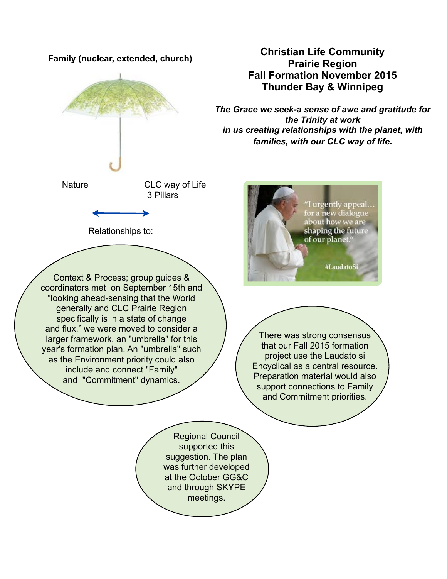

year's formation plan. An "umbrella" such as the Environment priority could also include and connect "Family" and "Commitment" dynamics.

# **Christian Life Community Prairie Region Fall Formation November 2015 Thunder Bay & Winnipeg**

*The Grace we seek-a sense of awe and gratitude for the Trinity at work in us creating relationships with the planet, with families, with our CLC way of life.*



There was strong consensus that our Fall 2015 formation project use the Laudato si Encyclical as a central resource. Preparation material would also support connections to Family and Commitment priorities.

Regional Council supported this suggestion. The plan was further developed at the October GG&C and through SKYPE meetings.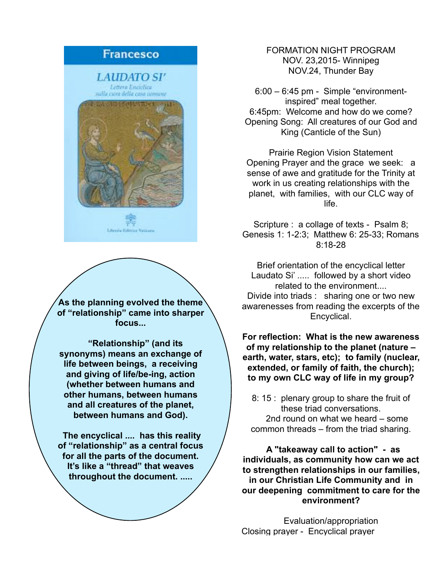## **Francesco**

LAUDATO SI′ Lettera Enciclica sulla cuna della casa comune



**As the planning evolved the theme of "relationship" came into sharper focus...**

 **"Relationship" (and its synonyms) means an exchange of life between beings, a receiving and giving of life/be-ing, action (whether between humans and other humans, between humans and all creatures of the planet, between humans and God).** 

 **The encyclical .... has this reality of "relationship" as a central focus for all the parts of the document. It's like a "thread" that weaves throughout the document. .....**

FORMATION NIGHT PROGRAM NOV. 23,2015- Winnipeg NOV.24, Thunder Bay

6:00 – 6:45 pm - Simple "environmentinspired" meal together. 6:45pm: Welcome and how do we come? Opening Song: All creatures of our God and King (Canticle of the Sun)

Prairie Region Vision Statement Opening Prayer and the grace we seek: a sense of awe and gratitude for the Trinity at work in us creating relationships with the planet, with families, with our CLC way of life.

Scripture : a collage of texts - Psalm 8; Genesis 1: 1-2:3; Matthew 6: 25-33; Romans 8:18-28

Brief orientation of the encyclical letter Laudato Si' ..... followed by a short video related to the environment.... Divide into triads : sharing one or two new awarenesses from reading the excerpts of the Encyclical.

**For reflection: What is the new awareness of my relationship to the planet (nature – earth, water, stars, etc); to family (nuclear, extended, or family of faith, the church); to my own CLC way of life in my group?**

8: 15 : plenary group to share the fruit of these triad conversations. 2nd round on what we heard – some common threads – from the triad sharing.

 **A "takeaway call to action" - as individuals, as community how can we act to strengthen relationships in our families, in our Christian Life Community and in our deepening commitment to care for the environment?**

Evaluation/appropriation Closing prayer - Encyclical prayer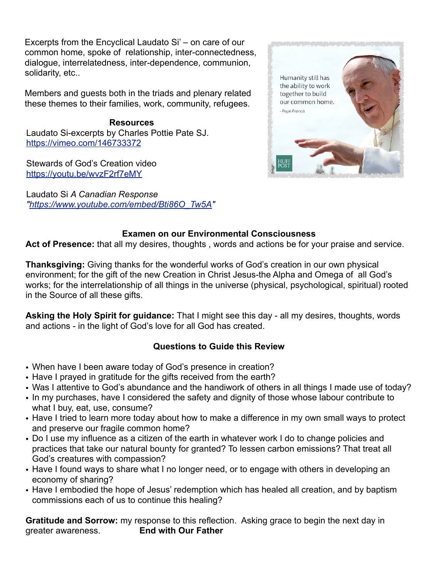Excerpts from the Encyclical Laudato Si' – on care of our common home, spoke of relationship, inter-connectedness, dialogue, interrelatedness, inter-dependence, communion, solidarity, etc..

Members and guests both in the triads and plenary related these themes to their families, work, community, refugees.

**Resources** Laudato Si-excerpts by Charles Pottie Pate SJ. <https://vimeo.com/146733372>

Stewards of God's Creation video <https://youtu.be/wvzF2rf7eMY>

Laudato Si *A Canadian Response ["https://www.youtube.com/embed/Bti86O\\_Tw5A"](https://www.youtube.com/embed/Bti86O_Tw5A)*



### **Examen on our Environmental Consciousness**

**Act of Presence:** that all my desires, thoughts , words and actions be for your praise and service.

**Thanksgiving:** Giving thanks for the wonderful works of God's creation in our own physical environment; for the gift of the new Creation in Christ Jesus-the Alpha and Omega of all God's works; for the interrelationship of all things in the universe (physical, psychological, spiritual) rooted in the Source of all these gifts.

**Asking the Holy Spirit for guidance:** That I might see this day - all my desires, thoughts, words and actions - in the light of God's love for all God has created.

### **Questions to Guide this Review**

- When have I been aware today of God's presence in creation?
- Have I prayed in gratitude for the gifts received from the earth?
- Was I attentive to God's abundance and the handiwork of others in all things I made use of today?
- In my purchases, have I considered the safety and dignity of those whose labour contribute to what I buy, eat, use, consume?
- Have I tried to learn more today about how to make a difference in my own small ways to protect and preserve our fragile common home?
- Do I use my influence as a citizen of the earth in whatever work I do to change policies and practices that take our natural bounty for granted? To lessen carbon emissions? That treat all God's creatures with compassion?
- Have I found ways to share what I no longer need, or to engage with others in developing an economy of sharing?
- Have I embodied the hope of Jesus' redemption which has healed all creation, and by baptism commissions each of us to continue this healing?

**Gratitude and Sorrow:** my response to this reflection. Asking grace to begin the next day in greater awareness. **End with Our Father**